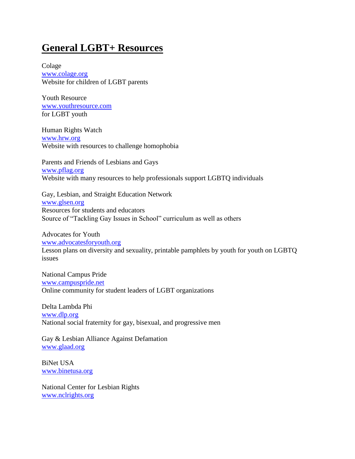## **General LGBT+ Resources**

Colage [www.colage.org](http://www.colage.org/) Website for children of LGBT parents

Youth Resource [www.youthresource.com](http://www.youthresource.com/) for LGBT youth

Human Rights Watch [www.hrw.org](http://www.hrw.org/) Website with resources to challenge homophobia

Parents and Friends of Lesbians and Gays [www.pflag.org](http://www.pflag.org/) Website with many resources to help professionals support LGBTQ individuals

Gay, Lesbian, and Straight Education Network [www.glsen.org](http://www.glsen.org/) Resources for students and educators Source of "Tackling Gay Issues in School" curriculum as well as others

Advocates for Youth [www.advocatesforyouth.org](http://www.advocatesforyouth.org/) Lesson plans on diversity and sexuality, printable pamphlets by youth for youth on LGBTQ issues

National Campus Pride [www.campuspride.net](http://www.campuspride.net/) Online community for student leaders of LGBT organizations

Delta Lambda Phi [www.dlp.org](http://www.dlp.org/) National social fraternity for gay, bisexual, and progressive men

Gay & Lesbian Alliance Against Defamation [www.glaad.org](http://www.glaad.org/)

BiNet USA [www.binetusa.org](http://www.binetusa.org/)

National Center for Lesbian Rights [www.nclrights.org](http://www.nclrights.org/)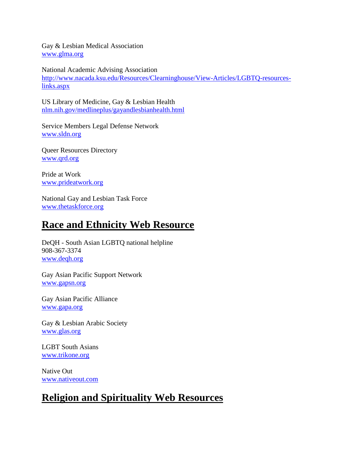Gay & Lesbian Medical Association [www.glma.org](http://www.glma.org/)

National Academic Advising Association [http://www.nacada.ksu.edu/Resources/Clearninghouse/View-Articles/LGBTQ-resources](http://www.nacada.ksu.edu/Resources/Clearinghouse/View-Articles/LGBTQ-resource-links.aspx)[links.aspx](http://www.nacada.ksu.edu/Resources/Clearinghouse/View-Articles/LGBTQ-resource-links.aspx)

US Library of Medicine, Gay & Lesbian Health [nlm.nih.gov/medlineplus/gayandlesbianhealth.html](http://www.nlm.nih.gov/medlineplus/gayandlesbianhealth.html)

Service Members Legal Defense Network [www.sldn.org](http://www.sldn.org/)

Queer Resources Directory [www.qrd.org](http://www.qrd.org/)

Pride at Work [www.prideatwork.org](http://www.prideatwork.org/)

National Gay and Lesbian Task Force [www.thetaskforce.org](http://www.thetaskforce.org/)

## **Race and Ethnicity Web Resource**

DeQH - South Asian LGBTQ national helpline 908-367-3374 [www.deqh.org](http://deqh.org/)

Gay Asian Pacific Support Network [www.gapsn.org](http://www.gapsn.org/)

Gay Asian Pacific Alliance [www.gapa.org](http://www.gapa.org/)

Gay & Lesbian Arabic Society [www.glas.org](http://www.glas.org/)

LGBT South Asians [www.trikone.org](http://www.trikone.org/)

Native Out [www.nativeout.com](http://www.nativeout.com/)

## **Religion and Spirituality Web Resources**